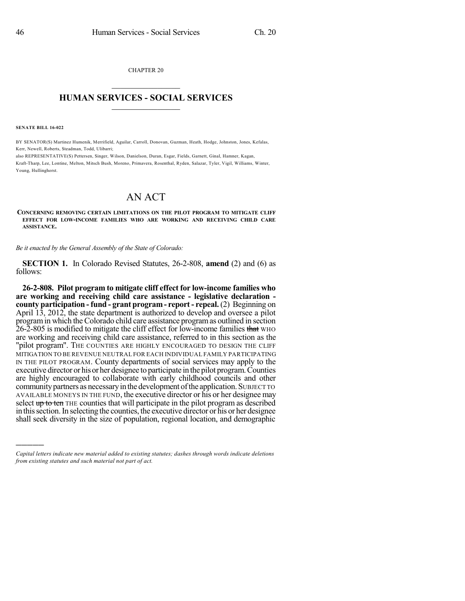CHAPTER 20  $\overline{\phantom{a}}$  . The set of the set of the set of the set of the set of the set of the set of the set of the set of the set of the set of the set of the set of the set of the set of the set of the set of the set of the set o

## **HUMAN SERVICES - SOCIAL SERVICES**  $\frac{1}{2}$  ,  $\frac{1}{2}$  ,  $\frac{1}{2}$  ,  $\frac{1}{2}$  ,  $\frac{1}{2}$  ,  $\frac{1}{2}$  ,  $\frac{1}{2}$

**SENATE BILL 16-022**

)))))

BY SENATOR(S) Martinez Humenik, Merrifield, Aguilar, Carroll, Donovan, Guzman, Heath, Hodge, Johnston, Jones, Kefalas, Kerr, Newell, Roberts, Steadman, Todd, Ulibarri;

also REPRESENTATIVE(S) Pettersen, Singer, Wilson, Danielson, Duran, Esgar, Fields, Garnett, Ginal, Hamner, Kagan, Kraft-Tharp, Lee, Lontine, Melton, Mitsch Bush, Moreno, Primavera, Rosenthal, Ryden, Salazar, Tyler, Vigil, Williams, Winter, Young, Hullinghorst.

## AN ACT

**CONCERNING REMOVING CERTAIN LIMITATIONS ON THE PILOT PROGRAM TO MITIGATE CLIFF EFFECT FOR LOW-INCOME FAMILIES WHO ARE WORKING AND RECEIVING CHILD CARE ASSISTANCE.**

*Be it enacted by the General Assembly of the State of Colorado:*

**SECTION 1.** In Colorado Revised Statutes, 26-2-808, **amend** (2) and (6) as follows:

**26-2-808. Pilot program to mitigate cliff effect for low-income families who are working and receiving child care assistance - legislative declaration county participation - fund - grant program- report - repeal.** (2) Beginning on April 13, 2012, the state department is authorized to develop and oversee a pilot programin which the Colorado child care assistance programas outlined in section 26-2-805 is modified to mitigate the cliff effect for low-income families that WHO are working and receiving child care assistance, referred to in this section as the "pilot program". THE COUNTIES ARE HIGHLY ENCOURAGED TO DESIGN THE CLIFF MITIGATION TO BE REVENUE NEUTRAL FOR EACH INDIVIDUAL FAMILY PARTICIPATING IN THE PILOT PROGRAM. County departments of social services may apply to the executive director or hisorher designee to participate in the pilot program.Counties are highly encouraged to collaborate with early childhood councils and other communitypartners as necessaryin the development ofthe application. SUBJECT TO AVAILABLE MONEYS IN THE FUND, the executive director or his or her designee may select up to ten THE counties that will participate in the pilot program as described in thissection.In selecting the counties, the executive director or his or her designee shall seek diversity in the size of population, regional location, and demographic

*Capital letters indicate new material added to existing statutes; dashes through words indicate deletions from existing statutes and such material not part of act.*